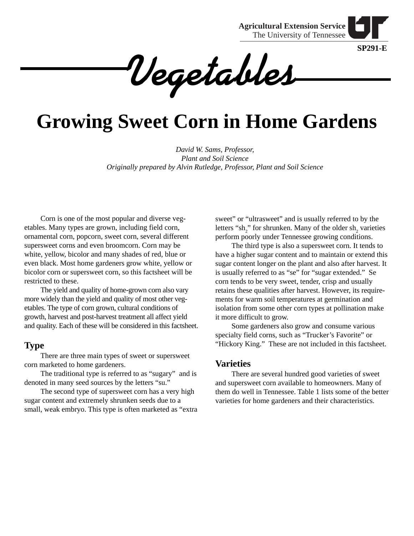

 **SP291-E**

**Vegetables**

# **Growing Sweet Corn in Home Gardens**

*David W. Sams, Professor, Plant and Soil Science Originally prepared by Alvin Rutledge, Professor, Plant and Soil Science*

Corn is one of the most popular and diverse vegetables. Many types are grown, including field corn, ornamental corn, popcorn, sweet corn, several different supersweet corns and even broomcorn. Corn may be white, yellow, bicolor and many shades of red, blue or even black. Most home gardeners grow white, yellow or bicolor corn or supersweet corn, so this factsheet will be restricted to these.

The yield and quality of home-grown corn also vary more widely than the yield and quality of most other vegetables. The type of corn grown, cultural conditions of growth, harvest and post-harvest treatment all affect yield and quality. Each of these will be considered in this factsheet.

#### **Type**

There are three main types of sweet or supersweet corn marketed to home gardeners.

The traditional type is referred to as "sugary" and is denoted in many seed sources by the letters "su."

The second type of supersweet corn has a very high sugar content and extremely shrunken seeds due to a small, weak embryo. This type is often marketed as "extra sweet" or "ultrasweet" and is usually referred to by the letters " $\sin_2$ " for shrunken. Many of the older  $\sin_2$  varieties perform poorly under Tennessee growing conditions.

The third type is also a supersweet corn. It tends to have a higher sugar content and to maintain or extend this sugar content longer on the plant and also after harvest. It is usually referred to as "se" for "sugar extended." Se corn tends to be very sweet, tender, crisp and usually retains these qualities after harvest. However, its requirements for warm soil temperatures at germination and isolation from some other corn types at pollination make it more difficult to grow.

Some gardeners also grow and consume various specialty field corns, such as "Trucker's Favorite" or "Hickory King." These are not included in this factsheet.

#### **Varieties**

There are several hundred good varieties of sweet and supersweet corn available to homeowners. Many of them do well in Tennessee. Table 1 lists some of the better varieties for home gardeners and their characteristics.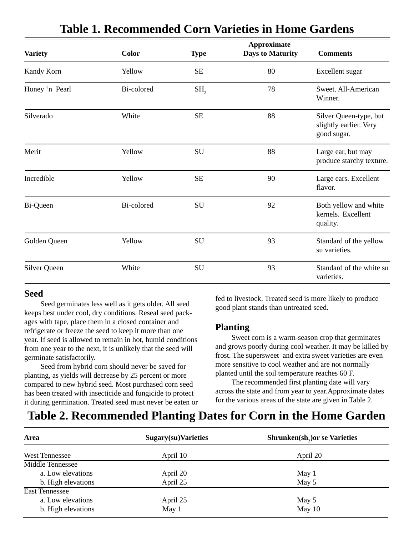| <b>Variety</b>      | <b>Color</b> | <b>Type</b>     | <b>Approximate</b><br><b>Days to Maturity</b> | <b>Comments</b>                                                 |
|---------------------|--------------|-----------------|-----------------------------------------------|-----------------------------------------------------------------|
| Kandy Korn          | Yellow       | <b>SE</b>       | 80                                            | Excellent sugar                                                 |
| Honey 'n Pearl      | Bi-colored   | SH <sub>2</sub> | 78                                            | Sweet. All-American<br>Winner.                                  |
| Silverado           | White        | <b>SE</b>       | 88                                            | Silver Queen-type, but<br>slightly earlier. Very<br>good sugar. |
| Merit               | Yellow       | <b>SU</b>       | 88                                            | Large ear, but may<br>produce starchy texture.                  |
| Incredible          | Yellow       | <b>SE</b>       | 90                                            | Large ears. Excellent<br>flavor.                                |
| Bi-Queen            | Bi-colored   | <b>SU</b>       | 92                                            | Both yellow and white<br>kernels. Excellent<br>quality.         |
| Golden Queen        | Yellow       | <b>SU</b>       | 93                                            | Standard of the yellow<br>su varieties.                         |
| <b>Silver Queen</b> | White        | SU              | 93                                            | Standard of the white su<br>varieties.                          |

# **Table 1. Recommended Corn Varieties in Home Gardens**

# **Seed**

Seed germinates less well as it gets older. All seed keeps best under cool, dry conditions. Reseal seed packages with tape, place them in a closed container and refrigerate or freeze the seed to keep it more than one year. If seed is allowed to remain in hot, humid conditions from one year to the next, it is unlikely that the seed will germinate satisfactorily.

Seed from hybrid corn should never be saved for planting, as yields will decrease by 25 percent or more compared to new hybrid seed. Most purchased corn seed has been treated with insecticide and fungicide to protect it during germination. Treated seed must never be eaten or fed to livestock. Treated seed is more likely to produce good plant stands than untreated seed.

# **Planting**

Sweet corn is a warm-season crop that germinates and grows poorly during cool weather. It may be killed by frost. The supersweet and extra sweet varieties are even more sensitive to cool weather and are not normally planted until the soil temperature reaches 60 F.

The recommended first planting date will vary across the state and from year to year.Approximate dates for the various areas of the state are given in Table 2.

# **Table 2. Recommended Planting Dates for Corn in the Home Garden**

| Area                  | Sugary(su)Varieties | <b>Shrunken</b> (sh,) or se Varieties |
|-----------------------|---------------------|---------------------------------------|
| <b>West Tennessee</b> | April 10            | April 20                              |
| Middle Tennessee      |                     |                                       |
| a. Low elevations     | April 20            | May 1                                 |
| b. High elevations    | April 25            | May 5                                 |
| <b>East Tennessee</b> |                     |                                       |
| a. Low elevations     | April 25            | May 5                                 |
| b. High elevations    | May 1               | May 10                                |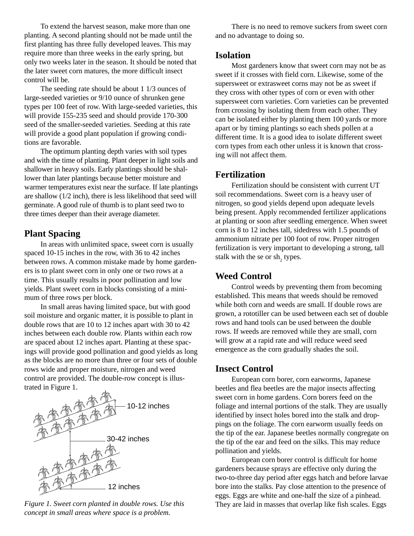To extend the harvest season, make more than one planting. A second planting should not be made until the first planting has three fully developed leaves. This may require more than three weeks in the early spring, but only two weeks later in the season. It should be noted that the later sweet corn matures, the more difficult insect control will be.

The seeding rate should be about 1 1/3 ounces of large-seeded varieties or 9/10 ounce of shrunken gene types per 100 feet of row. With large-seeded varieties, this will provide 155-235 seed and should provide 170-300 seed of the smaller-seeded varieties. Seeding at this rate will provide a good plant population if growing conditions are favorable.

The optimum planting depth varies with soil types and with the time of planting. Plant deeper in light soils and shallower in heavy soils. Early plantings should be shallower than later plantings because better moisture and warmer temperatures exist near the surface. If late plantings are shallow (1/2 inch), there is less likelihood that seed will germinate. A good rule of thumb is to plant seed two to three times deeper than their average diameter.

### **Plant Spacing**

In areas with unlimited space, sweet corn is usually spaced 10-15 inches in the row, with 36 to 42 inches between rows. A common mistake made by home gardeners is to plant sweet corn in only one or two rows at a time. This usually results in poor pollination and low yields. Plant sweet corn in blocks consisting of a minimum of three rows per block.

In small areas having limited space, but with good soil moisture and organic matter, it is possible to plant in double rows that are 10 to 12 inches apart with 30 to 42 inches between each double row. Plants within each row are spaced about 12 inches apart. Planting at these spacings will provide good pollination and good yields as long as the blocks are no more than three or four sets of double rows wide and proper moisture, nitrogen and weed control are provided. The double-row concept is illustrated in Figure 1.



*concept in small areas where space is a problem.*

There is no need to remove suckers from sweet corn and no advantage to doing so.

#### **Isolation**

Most gardeners know that sweet corn may not be as sweet if it crosses with field corn. Likewise, some of the supersweet or extrasweet corns may not be as sweet if they cross with other types of corn or even with other supersweet corn varieties. Corn varieties can be prevented from crossing by isolating them from each other. They can be isolated either by planting them 100 yards or more apart or by timing plantings so each sheds pollen at a different time. It is a good idea to isolate different sweet corn types from each other unless it is known that crossing will not affect them.

## **Fertilization**

Fertilization should be consistent with current UT soil recommendations. Sweet corn is a heavy user of nitrogen, so good yields depend upon adequate levels being present. Apply recommended fertilizer applications at planting or soon after seedling emergence. When sweet corn is 8 to 12 inches tall, sidedress with 1.5 pounds of ammonium nitrate per 100 foot of row. Proper nitrogen fertilization is very important to developing a strong, tall stalk with the se or  $sh_2$  types.

### **Weed Control**

Control weeds by preventing them from becoming established. This means that weeds should be removed while both corn and weeds are small. If double rows are grown, a rototiller can be used between each set of double rows and hand tools can be used between the double rows. If weeds are removed while they are small, corn will grow at a rapid rate and will reduce weed seed emergence as the corn gradually shades the soil.

#### **Insect Control**

European corn borer, corn earworms, Japanese beetles and flea beetles are the major insects affecting sweet corn in home gardens. Corn borers feed on the foliage and internal portions of the stalk. They are usually identified by insect holes bored into the stalk and droppings on the foliage. The corn earworm usually feeds on the tip of the ear. Japanese beetles normally congregate on the tip of the ear and feed on the silks. This may reduce pollination and yields.

European corn borer control is difficult for home gardeners because sprays are effective only during the two-to-three day period after eggs hatch and before larvae bore into the stalks. Pay close attention to the presence of eggs. Eggs are white and one-half the size of a pinhead. *Figure 1. Sweet corn planted in double rows. Use this* They are laid in masses that overlap like fish scales. Eggs